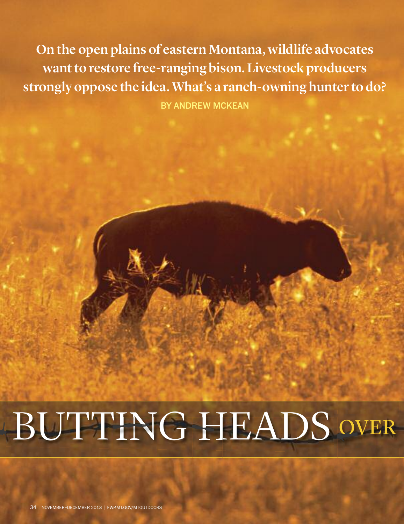**On the open plains of eastern Montana, wildlife advocates want to restore free-ranging bison.** Livestock producers **strongly oppose the idea. What's a ranch-owning hunter to do?**

By Andrew McKeAn

## BUTTING HEADS OVER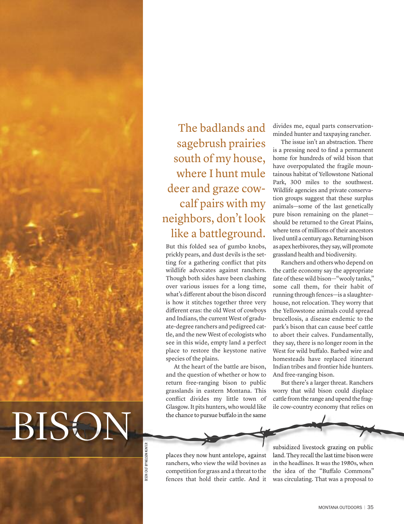

The badlands and sagebrush prairies south of my house, where I hunt mule deer and graze cowcalf pairs with my neighbors, don 't look like a battleground.

But this folded sea of gumbo knobs, prickly pears, and dust devils is the setting for a gathering conflict that pits wildlife advocates against ranchers. Though both sides have been clashing over various issues for a long time, what's different about the bison discord is how it stitches together three very different eras: the old West of cowboys and Indians, the current West of graduate-degree ranchers and pedigreed cattle, and the new West of ecologists who see in this wide, empty land a perfect place to restore the keystone native species of the plains.

At the heart of the battle are bison, and the question of whether or how to return free-ranging bison to public grasslands in eastern Montana. This conflict divides my little town of Glasgow.It pits hunters, who would like the chance to pursue buffalo in the same

divides me, equal parts conservationminded hunter and taxpaying rancher.

The issue isn't an abstraction. There is a pressing need to find a permanent home for hundreds of wild bison that have overpopulated the fragile mountainous habitat of Yellowstone National Park, 300 miles to the southwest. Wildlife agencies and private conservation groups suggest that these surplus animals—some of the last genetically pure bison remaining on the planet should be returned to the Great Plains, where tens of millions of their ancestors lived until a century ago. Returning bison as apex herbivores, they say, will promote grassland health and biodiversity.

Ranchers and others who depend on the cattle economy say the appropriate fate of these wild bison—"wooly tanks," some call them, for their habit of running through fences—is a slaughterhouse, not relocation. They worry that the Yellowstone animals could spread brucellosis, a disease endemic to the park's bison that can cause beef cattle to abort their calves. Fundamentally, they say, there is no longer room in the West for wild buffalo. Barbed wire and homesteads have replaced itinerant Indian tribes and frontier hide hunters. And free-ranging bison.

But there's a larger threat. Ranchers worry that wild bison could displace cattle from the range and upend the fragile cow-country economy that relies on

places they now hunt antelope, against ranchers, who view the wild bovines as competition for grass and a threat to the fences that hold their cattle. And it

subsidized livestock grazing on public land. They recall the last time bison were in the headlines. It was the 1980s, when the idea of the "Buffalo Commons" was circulating. That was a proposal to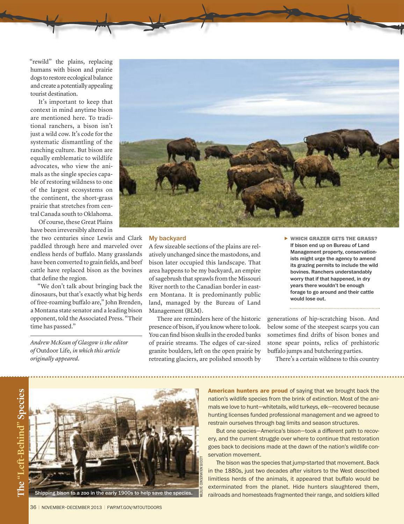"rewild" the plains, replacing humans with bison and prairie dogs to restore ecological balance and create a potentially appealing tourist destination.

It's important to keep that context in mind anytime bison are mentioned here. To traditional ranchers, a bison isn't just a wild cow. It's code for the systematic dismantling of the ranching culture. But bison are equally emblematic to wildlife advocates, who view the animals as the single species capable of restoring wildness to one of the largest ecosystems on the continent, the short-grass prairie that stretches from central Canada south to Oklahoma.

Of course, these Great Plains have been irreversibly altered in

the two centuries since Lewis and Clark paddled through here and marveled over endless herds of buffalo. Many grasslands have been converted to grain fields, and beef cattle have replaced bison as the bovines that define the region.

"We don't talk about bringing back the dinosaurs, but that's exactly what big herds of free-roaming buffalo are," John Brenden, a Montana state senator and a leading bison opponent, told the Associated Press. "Their time has passed."

*Andrew McKean of Glasgow is the editor of* Outdoor Life*, in which this article originally appeared.*



## My backyard

A few sizeable sections of the plains are relatively unchanged since the mastodons, and bison later occupied this landscape. That area happens to be my backyard, an empire of sagebrush that sprawls from the Missouri River north to the Canadian border in eastern Montana. It is predominantly public land, managed by the Bureau of Land Management (BLM).

There are reminders here of the historic presence of bison, if you know where to look. You can find bison skulls in the eroded banks of prairie streams. The edges of car-sized granite boulders, left on the open prairie by retreating glaciers, are polished smooth by

**WHICH GRAZER GETS THE GRASS?** If bison end up on Bureau of Land Management property, conservationists might urge the agency to amend its grazing permits to include the wild bovines. Ranchers understandably worry that if that happened, in dry years there wouldn't be enough forage to go around and their cattle would lose out.

generations of hip-scratching bison. And below some of the steepest scarps you can sometimes find drifts of bison bones and stone spear points, relics of prehistoric buffalo jumps and butchering parties.

There's a certain wildness to this country



Shipping bison to a zoo in the early 1900s to help save the species.

**American hunters are proud** of saying that we brought back the nation's wildlife species from the brink of extinction. Most of the animals we love to hunt—whitetails, wild turkeys, elk—recovered because hunting licenses funded professional management and we agreed to restrain ourselves through bag limits and season structures.

But one species—America's bison—took a different path to recovery, and the current struggle over where to continue that restoration goes back to decisions made at the dawn of the nation's wildlife conservation movement.

The bison was the species that jump-started that movement. Back in the 1880s, just two decades after visitors to the West described limitless herds of the animals, it appeared that buffalo would be exterminated from the planet. Hide hunters slaughtered them, railroads and homesteads fragmented their range, and soldiers killed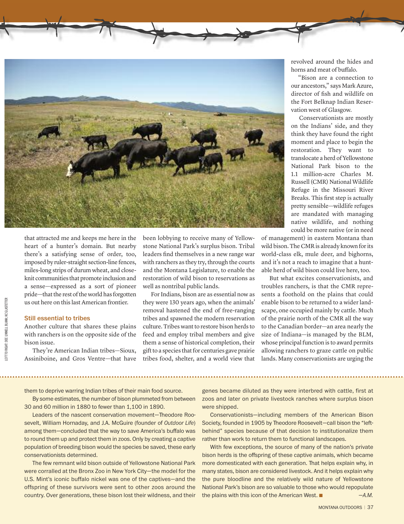

LEFT TO RIGHT: DEE LINNELL BLANK; KC GLASTETTER LEFT TO RIGHT: DEELINNELL BLANK; KC GLASTETTER that attracted me and keeps me here in the heart of a hunter's domain. But nearby there's a satisfying sense of order, too, imposed by ruler-straight section-line fences, miles-long strips of durum wheat, and closeknit communities that promote inclusion and a sense—expressed as a sort of pioneer pride—that the rest of the world has forgotten us out here on this last American frontier.

## Still essential to tribes

Another culture that shares these plains with ranchers is on the opposite side of the bison issue.

They're American Indian tribes—Sioux, Assiniboine, and Gros Ventre—that have been lobbying to receive many of Yellowstone National Park's surplus bison. Tribal leaders find themselves in a new range war with ranchers as they try, through the courts and the Montana Legislature, to enable the restoration of wild bison to reservations as well as nontribal public lands.

For Indians, bison are as essential now as they were 130 years ago, when the animals' removal hastened the end of free-ranging tribes and spawned the modern reservation culture. Tribes want to restore bison herds to feed and employ tribal members and give them a sense of historical completion, their gift to a species that for centuries gave prairie tribes food, shelter, and a world view that revolved around the hides and horns and meat of buffalo.

"Bison are a connection to our ancestors," says MarkAzure, director of fish and wildlife on the Fort Belknap Indian Reservation west of Glasgow.

Conservationists are mostly on the Indians' side, and they think they have found the right moment and place to begin the restoration. They want to translocate a herd of Yellowstone National Park bison to the 1.1 million-acre Charles M. Russell (CMR) National Wildlife Refuge in the Missouri River Breaks. This first step is actually pretty sensible—wildlife refuges are mandated with managing native wildlife, and nothing could be more native (or in need

of management) in eastern Montana than wild bison.The CMRis already known forits world-class elk, mule deer, and bighorns, and it's not a reach to imagine that a huntable herd of wild bison could live here, too.

But what excites conservationists, and troubles ranchers, is that the CMR represents a foothold on the plains that could enable bison to be returned to a wider landscape, one occupied mainly by cattle. Much of the prairie north of the CMR all the way to the Canadian border—an area nearly the size of Indiana—is managed by the BLM, whose principal function is to award permits allowing ranchers to graze cattle on public lands. Many conservationists are urging the

them to deprive warring Indian tribes of their main food source.

By some estimates, the number of bison plummeted from between 30 and 60 million in 1880 to fewer than 1,100 in 1890.

Leaders of the nascent conservation movement-Theodore Roosevelt, William Hornaday, and J.A. McGuire (founder of *Outdoor Life*) among them—concluded that the way to save America's buffalo was to round them up and protect them in zoos. Only by creating a captive population of breeding bison would the species be saved, these early conservationists determined.

The few remnant wild bison outside of Yellowstone National Park were corralled at the Bronx Zoo in New York City—the model for the U.S. Mint's iconic buffalo nickel was one of the captives—and the offspring of these survivors were sent to other zoos around the country. Over generations, these bison lost their wildness, and their genes became diluted as they were interbred with cattle, first at zoos and later on private livestock ranches where surplus bison were shipped.

Conservationists—including members of the American Bison Society, founded in 1905 by Theodore Roosevelt-call bison the "leftbehind" species because of that decision to institutionalize them rather than work to return them to functional landscapes.

With few exceptions, the source of many of the nation's private bison herds is the offspring of these captive animals, which became more domesticated with each generation. That helps explain why, in many states, bison are considered livestock. And it helps explain why the pure bloodline and the relatively wild nature of Yellowstone National Park's bison are so valuable to those who would repopulate the plains with this icon of the American West.  $\blacksquare$   $-A.M$ .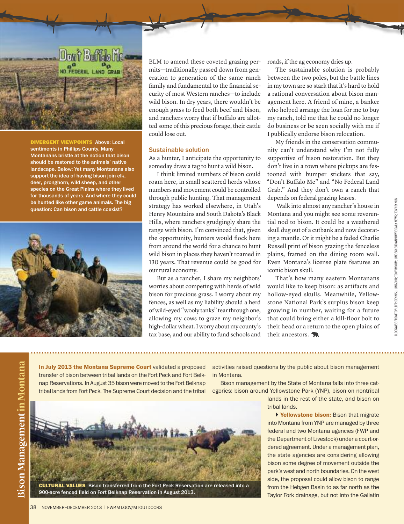

**DIVERGENT VIEWPOINTS** Above: Local sentiments in Phillips County. Many Montanans bristle at the notion that bison should be restored to the animals' native landscape. Below: yet many Montanans also support the idea of having bison join elk, deer, pronghorn, wild sheep, and other species on the Great Plains where they lived for thousands of years. And where they could be hunted like other game animals. The big question: can bison and cattle coexist?



**o**

**ntana**

BLM to amend these coveted grazing permits—traditionally passed down from generation to generation of the same ranch family and fundamental to the financial security of most Western ranches—to include wild bison. In dry years, there wouldn't be enough grass to feed both beef and bison, and ranchers worry that if buffalo are allotted some of this precious forage, their cattle could lose out.

## Sustainable solution

As a hunter, I anticipate the opportunity to someday draw a tag to hunt a wild bison.

I think limited numbers of bison could roam here, in small scattered herds whose numbers and movement could be controlled through public hunting. That management strategy has worked elsewhere, in Utah's Henry Mountains and South Dakota's Black Hills, where ranchers grudgingly share the range with bison. I'm convinced that, given the opportunity, hunters would flock here from around the world for a chance to hunt wild bison in places they haven't roamed in 130 years. That revenue could be good for our rural economy.

But as a rancher, I share my neighbors' worries about competing with herds of wild bison for precious grass. I worry about my fences, as well as my liability should a herd of wild-eyed "wooly tanks" tearthrough one, allowing my cows to graze my neighbor's high-dollar wheat.I worry about my county's tax base, and our ability to fund schools and

roads, if the ag economy dries up.

The sustainable solution is probably between the two poles, but the battle lines in my town are so stark that it's hard to hold a rational conversation about bison management here. A friend of mine, a banker who helped arrange the loan for me to buy my ranch, told me that he could no longer do business or be seen socially with me if I publically endorse bison relocation.

My friends in the conservation community can't understand why I'm not fully supportive of bison restoration. But they don't live in a town where pickups are festooned with bumper stickers that say, "Don't Buffalo Me" and "No Federal Land Grab." And they don't own a ranch that depends on federal grazing leases.

Walk into almost any rancher's house in Montana and you might see some reverential nod to bison. It could be a weathered skull dug out of a cutbank and now decorating a mantle. Or it might be a faded Charlie Russell print of bison grazing the fenceless plains, framed on the dining room wall. Even Montana's license plate features an iconic bison skull.

That's how many eastern Montanans would like to keep bison: as artifacts and hollow-eyed skulls. Meanwhile, Yellowstone National Park's surplus bison keep growing in number, waiting for a future that could bring either a kill-floor bolt to their head or a return to the open plains of their ancestors.

**In July 2013 the Montana Supreme Court** validated a proposed transfer of bison between tribal lands on the Fort Peck and Fort Belknap Reservations. In August 35 bison were moved to the Fort Belknap tribal lands from Fort Peck. The Supreme Court decision and the tribal

activities raised questions by the public about bison management in Montana.

Bison management by the State of Montana falls into three categories: bison around Yellowstone Park (YNP), bison on nontribal

> lands in the rest of the state, and bison on tribal lands.

> **Yellowstone bison:** Bison that migrate into Montana from YNP are managed by three federal and two Montana agencies (FWP and the Department of Livestock) under a court-ordered agreement. Under a management plan, the state agencies are considering allowing bison some degree of movement outside the park's west and north boundaries. On the west side, the proposal could allow bison to range from the Hebgen Basin to as far north as the Taylor Fork drainage, but not into the Gallatin